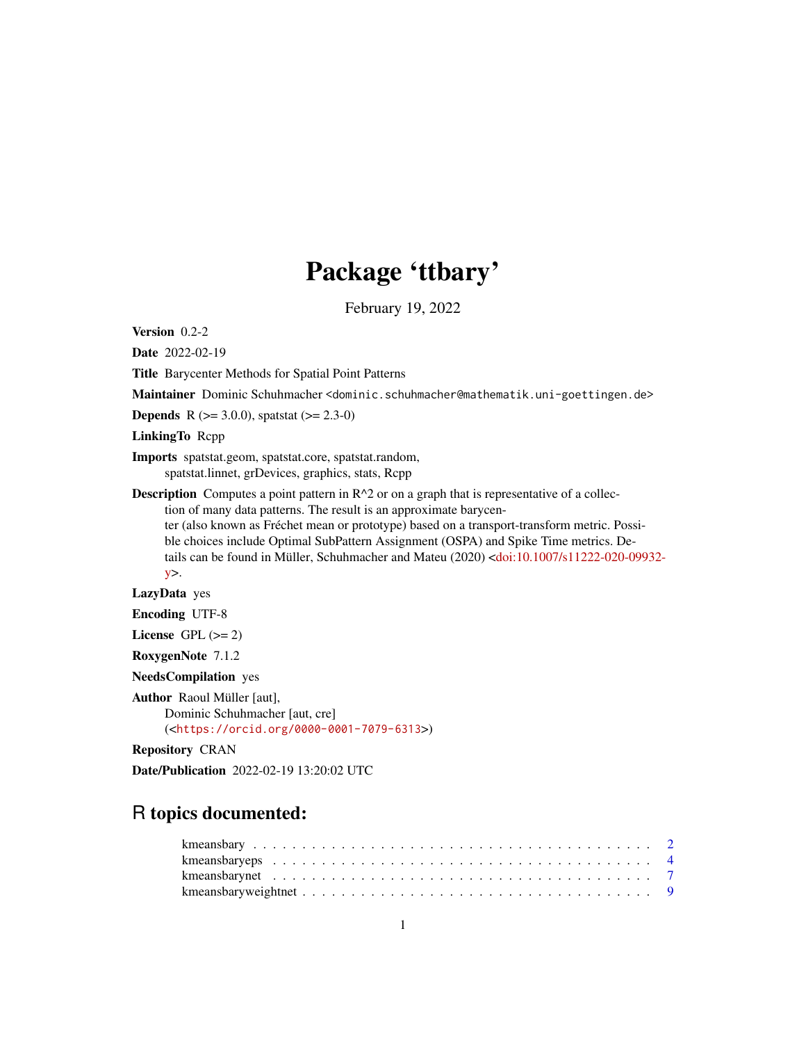# Package 'ttbary'

February 19, 2022

<span id="page-0-0"></span>Version 0.2-2

Date 2022-02-19

Title Barycenter Methods for Spatial Point Patterns

Maintainer Dominic Schuhmacher <dominic.schuhmacher@mathematik.uni-goettingen.de>

**Depends** R ( $>= 3.0.0$ ), spatstat ( $>= 2.3-0$ )

LinkingTo Rcpp

Imports spatstat.geom, spatstat.core, spatstat.random, spatstat.linnet, grDevices, graphics, stats, Rcpp

**Description** Computes a point pattern in  $R^2$  or on a graph that is representative of a collection of many data patterns. The result is an approximate barycenter (also known as Fréchet mean or prototype) based on a transport-transform metric. Possi-

ble choices include Optimal SubPattern Assignment (OSPA) and Spike Time metrics. Details can be found in Müller, Schuhmacher and Mateu (2020) [<doi:10.1007/s11222-020-09932](https://doi.org/10.1007/s11222-020-09932-y) [y>](https://doi.org/10.1007/s11222-020-09932-y).

LazyData yes

Encoding UTF-8

License GPL  $(>= 2)$ 

RoxygenNote 7.1.2

NeedsCompilation yes

Author Raoul Müller [aut],

Dominic Schuhmacher [aut, cre] (<<https://orcid.org/0000-0001-7079-6313>>)

Repository CRAN

Date/Publication 2022-02-19 13:20:02 UTC

## R topics documented: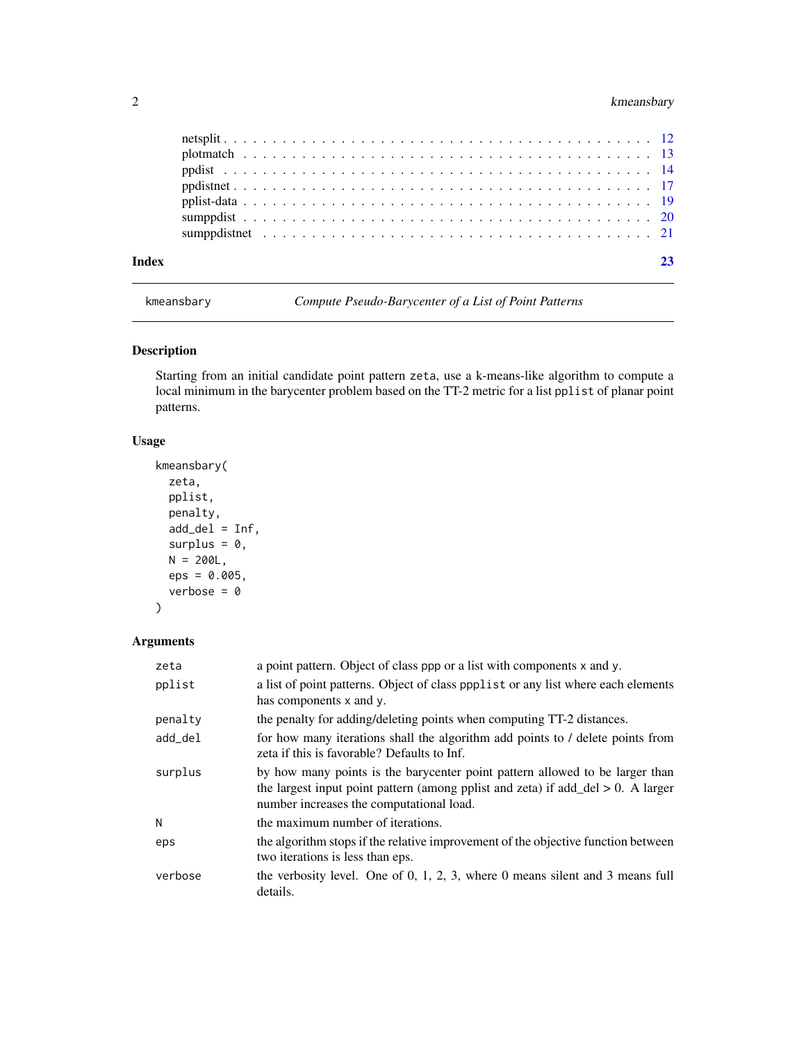#### <span id="page-1-0"></span>2 kmeansbary

| Index |  |  |  |  |  |  |  |  |  |  |  |  |  |  |  |  |  |  |  |  |
|-------|--|--|--|--|--|--|--|--|--|--|--|--|--|--|--|--|--|--|--|--|
|       |  |  |  |  |  |  |  |  |  |  |  |  |  |  |  |  |  |  |  |  |
|       |  |  |  |  |  |  |  |  |  |  |  |  |  |  |  |  |  |  |  |  |
|       |  |  |  |  |  |  |  |  |  |  |  |  |  |  |  |  |  |  |  |  |
|       |  |  |  |  |  |  |  |  |  |  |  |  |  |  |  |  |  |  |  |  |
|       |  |  |  |  |  |  |  |  |  |  |  |  |  |  |  |  |  |  |  |  |
|       |  |  |  |  |  |  |  |  |  |  |  |  |  |  |  |  |  |  |  |  |
|       |  |  |  |  |  |  |  |  |  |  |  |  |  |  |  |  |  |  |  |  |

<span id="page-1-1"></span>kmeansbary *Compute Pseudo-Barycenter of a List of Point Patterns*

#### Description

Starting from an initial candidate point pattern zeta, use a k-means-like algorithm to compute a local minimum in the barycenter problem based on the TT-2 metric for a list pplist of planar point patterns.

#### Usage

```
kmeansbary(
 zeta,
 pplist,
 penalty,
  add\_del = Inf,surplus = 0,
 N = 200L,eps = 0.005,
  verbose = 0
)
```

```
Arguments
```

| zeta    | a point pattern. Object of class ppp or a list with components x and y.                                                                                                                                         |
|---------|-----------------------------------------------------------------------------------------------------------------------------------------------------------------------------------------------------------------|
| pplist  | a list of point patterns. Object of class poplist or any list where each elements<br>has components x and y.                                                                                                    |
| penalty | the penalty for adding/deleting points when computing TT-2 distances.                                                                                                                                           |
| add del | for how many iterations shall the algorithm add points to / delete points from<br>zeta if this is favorable? Defaults to Inf.                                                                                   |
| surplus | by how many points is the barycenter point pattern allowed to be larger than<br>the largest input point pattern (among pplist and zeta) if add_del $> 0$ . A larger<br>number increases the computational load. |
| N       | the maximum number of iterations.                                                                                                                                                                               |
| eps     | the algorithm stops if the relative improvement of the objective function between<br>two iterations is less than eps.                                                                                           |
| verbose | the verbosity level. One of $0, 1, 2, 3$ , where $0$ means silent and $3$ means full<br>details.                                                                                                                |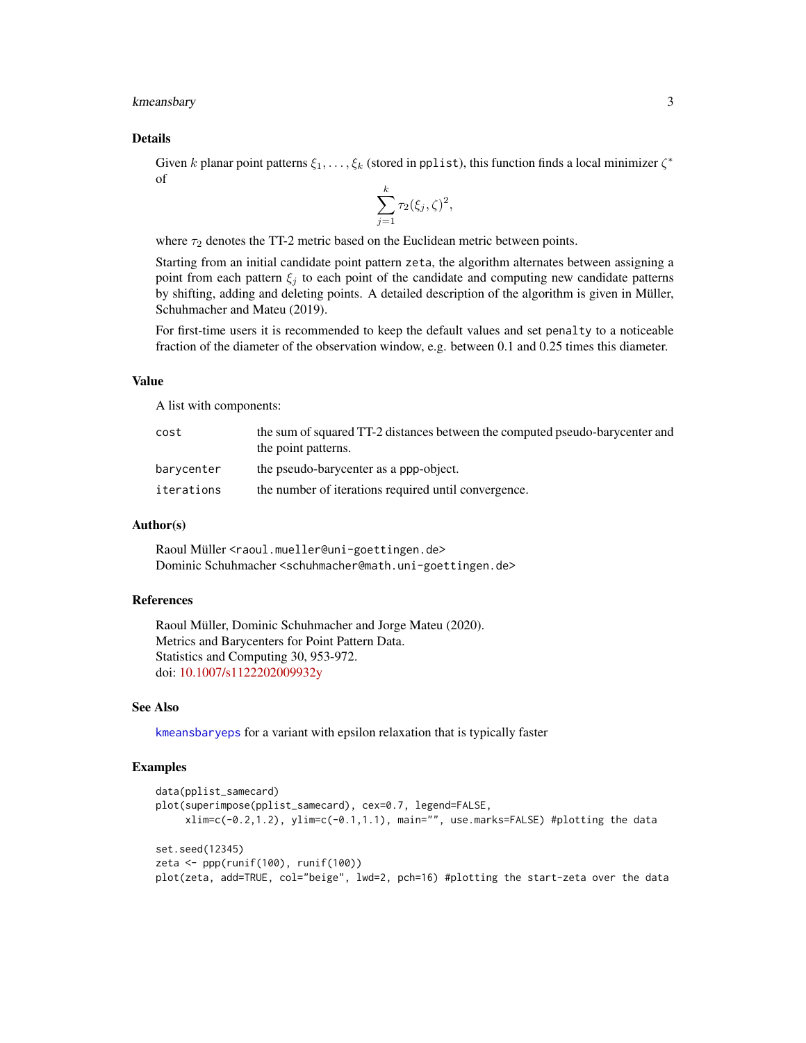#### <span id="page-2-0"></span>kmeansbary 3

#### Details

Given k planar point patterns  $\xi_1, \ldots, \xi_k$  (stored in pplist), this function finds a local minimizer  $\zeta^*$ of

$$
\sum_{j=1}^k \tau_2(\xi_j, \zeta)^2,
$$

where  $\tau_2$  denotes the TT-2 metric based on the Euclidean metric between points.

Starting from an initial candidate point pattern zeta, the algorithm alternates between assigning a point from each pattern  $\xi_j$  to each point of the candidate and computing new candidate patterns by shifting, adding and deleting points. A detailed description of the algorithm is given in Müller, Schuhmacher and Mateu (2019).

For first-time users it is recommended to keep the default values and set penalty to a noticeable fraction of the diameter of the observation window, e.g. between 0.1 and 0.25 times this diameter.

#### Value

A list with components:

| cost       | the sum of squared TT-2 distances between the computed pseudo-barycenter and |
|------------|------------------------------------------------------------------------------|
|            | the point patterns.                                                          |
| barycenter | the pseudo-barycenter as a ppp-object.                                       |
| iterations | the number of iterations required until convergence.                         |

#### Author(s)

Raoul Müller <raoul.mueller@uni-goettingen.de> Dominic Schuhmacher <schuhmacher@math.uni-goettingen.de>

#### References

Raoul Müller, Dominic Schuhmacher and Jorge Mateu (2020). Metrics and Barycenters for Point Pattern Data. Statistics and Computing 30, 953-972. doi: [10.1007/s1122202009932y](https://doi.org/10.1007/s11222-020-09932-y)

#### See Also

[kmeansbaryeps](#page-3-1) for a variant with epsilon relaxation that is typically faster

```
data(pplist_samecard)
plot(superimpose(pplist_samecard), cex=0.7, legend=FALSE,
     xlim=c(-0.2,1.2), ylim=c(-0.1,1.1), main="", use.marks=FALSE) #plotting the data
set.seed(12345)
zeta <- ppp(runif(100), runif(100))
plot(zeta, add=TRUE, col="beige", lwd=2, pch=16) #plotting the start-zeta over the data
```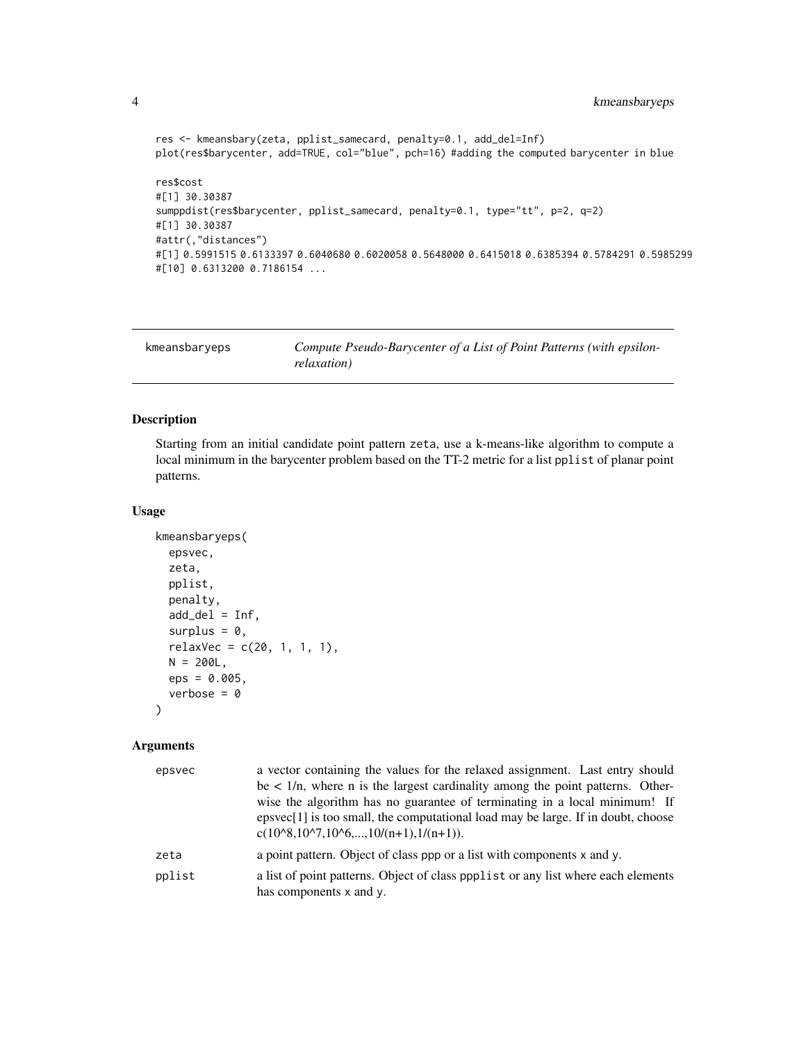```
res <- kmeansbary(zeta, pplist_samecard, penalty=0.1, add_del=Inf)
plot(res$barycenter, add=TRUE, col="blue", pch=16) #adding the computed barycenter in blue
res$cost
#[1] 30.30387
sumppdist(res$barycenter, pplist_samecard, penalty=0.1, type="tt", p=2, q=2)
#[1] 30.30387
#attr(,"distances")
#[1] 0.5991515 0.6133397 0.6040680 0.6020058 0.5648000 0.6415018 0.6385394 0.5784291 0.5985299
#[10] 0.6313200 0.7186154 ...
```
<span id="page-3-1"></span>

| kmeansbaryeps | Compute Pseudo-Barycenter of a List of Point Patterns (with epsilon- |
|---------------|----------------------------------------------------------------------|
|               | <i>relaxation</i> )                                                  |

#### Description

Starting from an initial candidate point pattern zeta, use a k-means-like algorithm to compute a local minimum in the barycenter problem based on the TT-2 metric for a list pplist of planar point patterns.

#### Usage

```
kmeansbaryeps(
 epsvec,
 zeta,
 pplist,
 penalty,
 add\_del = Inf,surplus = 0,
 relaxVec = c(20, 1, 1, 1),N = 200L,eps = 0.005,
  verbose = 0)
```
#### Arguments

| epsvec | a vector containing the values for the relaxed assignment. Last entry should                                                                    |
|--------|-------------------------------------------------------------------------------------------------------------------------------------------------|
|        | be $\lt 1/n$ , where n is the largest cardinality among the point patterns. Other-                                                              |
|        | wise the algorithm has no guarantee of terminating in a local minimum! If                                                                       |
|        | epsvec[1] is too small, the computational load may be large. If in doubt, choose<br>$c(10^{8}, 10^{8}, 10^{8}, \ldots, 10^{6}, \ldots, 10^{6})$ |
| zeta   | a point pattern. Object of class ppp or a list with components x and y.                                                                         |
| pplist | a list of point patterns. Object of class ppplist or any list where each elements<br>has components x and y.                                    |

<span id="page-3-0"></span>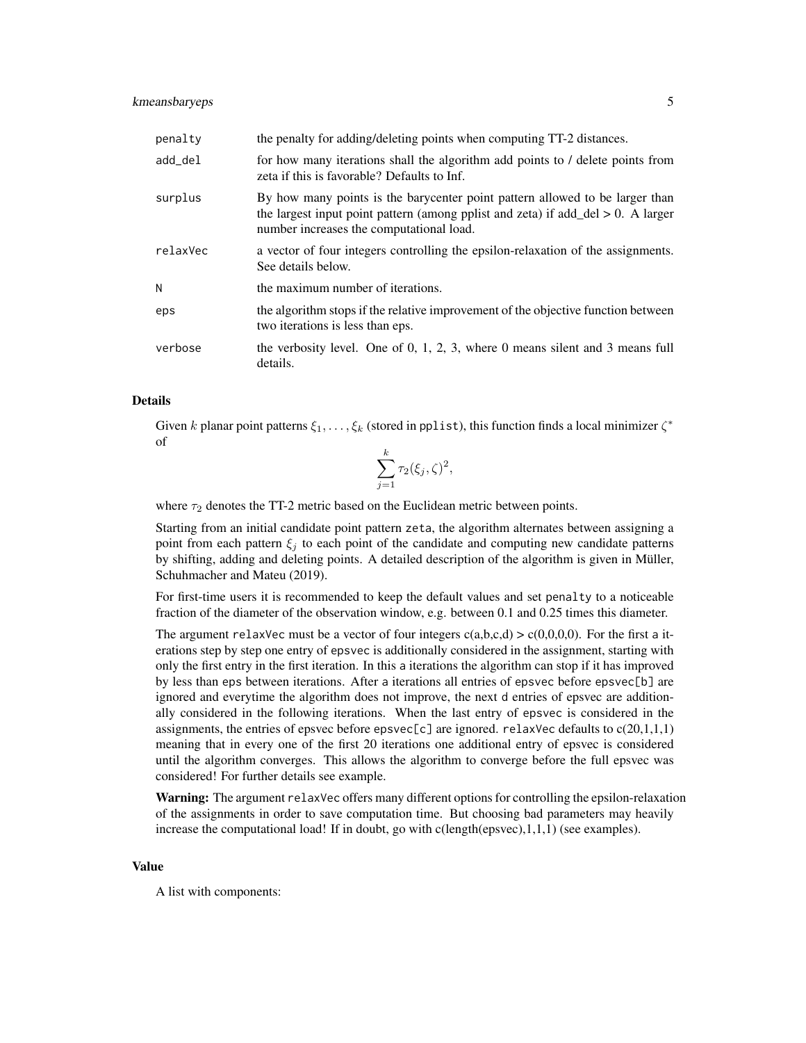#### kmeansbaryeps 5

| penalty  | the penalty for adding/deleting points when computing TT-2 distances.                                                                                                                                           |
|----------|-----------------------------------------------------------------------------------------------------------------------------------------------------------------------------------------------------------------|
| add_del  | for how many iterations shall the algorithm add points to / delete points from<br>zeta if this is favorable? Defaults to Inf.                                                                                   |
| surplus  | By how many points is the barycenter point pattern allowed to be larger than<br>the largest input point pattern (among pplist and zeta) if add $del > 0$ . A larger<br>number increases the computational load. |
| relaxVec | a vector of four integers controlling the epsilon-relaxation of the assignments.<br>See details below.                                                                                                          |
| N        | the maximum number of iterations.                                                                                                                                                                               |
| eps      | the algorithm stops if the relative improvement of the objective function between<br>two iterations is less than eps.                                                                                           |
| verbose  | the verbosity level. One of 0, 1, 2, 3, where 0 means silent and 3 means full<br>details.                                                                                                                       |

#### Details

Given k planar point patterns  $\xi_1, \ldots, \xi_k$  (stored in pplist), this function finds a local minimizer  $\zeta^*$ of

$$
\sum_{j=1}^k \tau_2(\xi_j, \zeta)^2,
$$

where  $\tau_2$  denotes the TT-2 metric based on the Euclidean metric between points.

Starting from an initial candidate point pattern zeta, the algorithm alternates between assigning a point from each pattern  $\xi_i$  to each point of the candidate and computing new candidate patterns by shifting, adding and deleting points. A detailed description of the algorithm is given in Müller, Schuhmacher and Mateu (2019).

For first-time users it is recommended to keep the default values and set penalty to a noticeable fraction of the diameter of the observation window, e.g. between 0.1 and 0.25 times this diameter.

The argument relaxVec must be a vector of four integers  $c(a,b,c,d) > c(0,0,0,0)$ . For the first a iterations step by step one entry of epsvec is additionally considered in the assignment, starting with only the first entry in the first iteration. In this a iterations the algorithm can stop if it has improved by less than eps between iterations. After a iterations all entries of epsvec before epsvec[b] are ignored and everytime the algorithm does not improve, the next d entries of epsvec are additionally considered in the following iterations. When the last entry of epsvec is considered in the assignments, the entries of epsvec before epsvec $[c]$  are ignored. relaxVec defaults to  $c(20,1,1,1)$ meaning that in every one of the first 20 iterations one additional entry of epsvec is considered until the algorithm converges. This allows the algorithm to converge before the full epsvec was considered! For further details see example.

Warning: The argument relaxVec offers many different options for controlling the epsilon-relaxation of the assignments in order to save computation time. But choosing bad parameters may heavily increase the computational load! If in doubt, go with c(length(epsvec),1,1,1) (see examples).

#### Value

A list with components: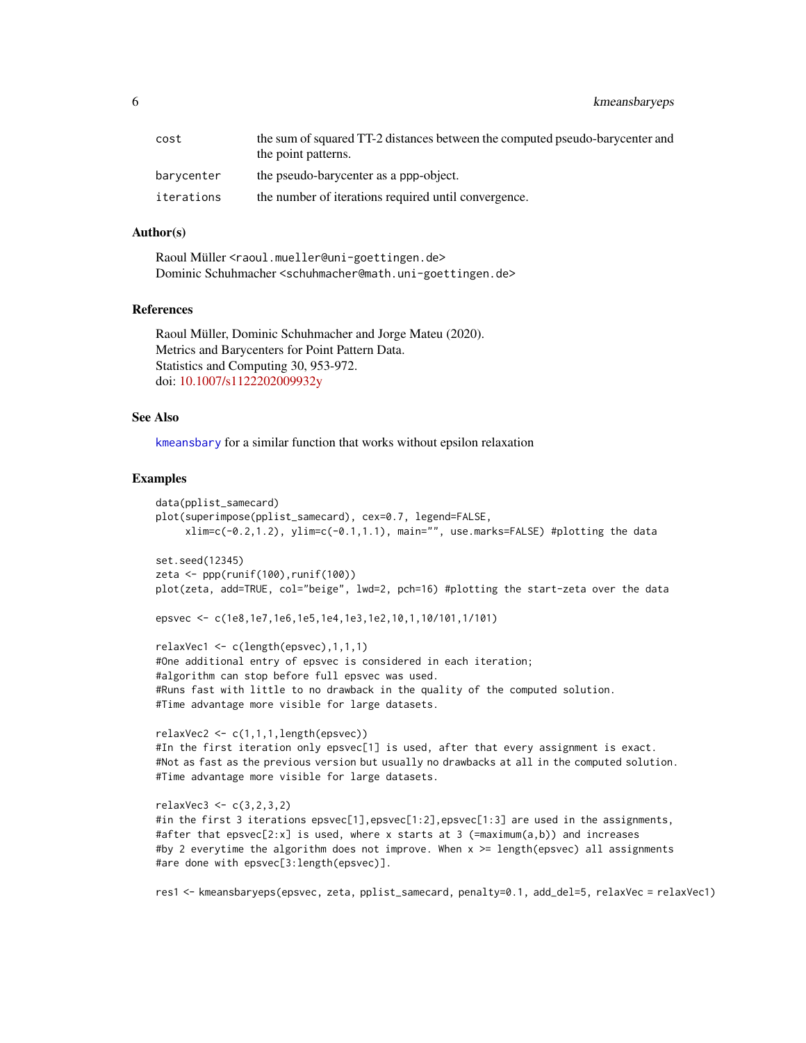<span id="page-5-0"></span>6 kmeansbaryeps

| cost       | the sum of squared TT-2 distances between the computed pseudo-barycenter and |
|------------|------------------------------------------------------------------------------|
|            | the point patterns.                                                          |
| barvcenter | the pseudo-barycenter as a ppp-object.                                       |
| iterations | the number of iterations required until convergence.                         |

#### Author(s)

Raoul Müller <raoul.mueller@uni-goettingen.de> Dominic Schuhmacher <schuhmacher@math.uni-goettingen.de>

#### References

Raoul Müller, Dominic Schuhmacher and Jorge Mateu (2020). Metrics and Barycenters for Point Pattern Data. Statistics and Computing 30, 953-972. doi: [10.1007/s1122202009932y](https://doi.org/10.1007/s11222-020-09932-y)

#### See Also

[kmeansbary](#page-1-1) for a similar function that works without epsilon relaxation

#### Examples

```
data(pplist_samecard)
plot(superimpose(pplist_samecard), cex=0.7, legend=FALSE,
     xlim=c(-0.2,1.2), ylim=c(-0.1,1.1), main="", use.marks=FALSE) #plotting the data
set.seed(12345)
zeta <- ppp(runif(100),runif(100))
plot(zeta, add=TRUE, col="beige", lwd=2, pch=16) #plotting the start-zeta over the data
epsvec <- c(1e8,1e7,1e6,1e5,1e4,1e3,1e2,10,1,10/101,1/101)
relaxVec1 <- c(length(epsvec),1,1,1)
#One additional entry of epsvec is considered in each iteration;
#algorithm can stop before full epsvec was used.
#Runs fast with little to no drawback in the quality of the computed solution.
#Time advantage more visible for large datasets.
relaxVec2 <- c(1,1,1,length(epsvec))
#In the first iteration only epsvec[1] is used, after that every assignment is exact.
#Not as fast as the previous version but usually no drawbacks at all in the computed solution.
#Time advantage more visible for large datasets.
relaxVec3 <- c(3,2,3,2)
#in the first 3 iterations epsvec[1],epsvec[1:2],epsvec[1:3] are used in the assignments,
#after that epsvec[2:x] is used, where x starts at 3 (=maximum(a,b)) and increases
#by 2 everytime the algorithm does not improve. When x >= length(epsvec) all assignments
#are done with epsvec[3:length(epsvec)].
```
res1 <- kmeansbaryeps(epsvec, zeta, pplist\_samecard, penalty=0.1, add\_del=5, relaxVec = relaxVec1)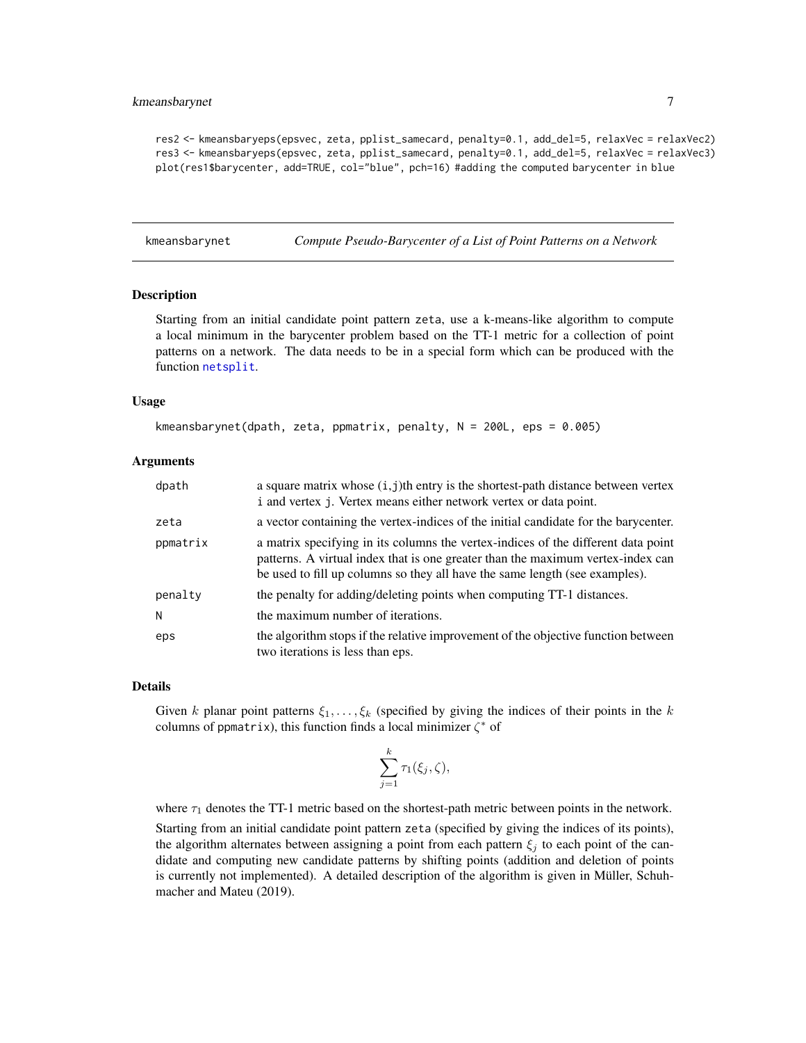#### <span id="page-6-0"></span>kmeansbarynet 7

res2 <- kmeansbaryeps(epsvec, zeta, pplist\_samecard, penalty=0.1, add\_del=5, relaxVec = relaxVec2) res3 <- kmeansbaryeps(epsvec, zeta, pplist\_samecard, penalty=0.1, add\_del=5, relaxVec = relaxVec3) plot(res1\$barycenter, add=TRUE, col="blue", pch=16) #adding the computed barycenter in blue

<span id="page-6-1"></span>kmeansbarynet *Compute Pseudo-Barycenter of a List of Point Patterns on a Network*

#### Description

Starting from an initial candidate point pattern zeta, use a k-means-like algorithm to compute a local minimum in the barycenter problem based on the TT-1 metric for a collection of point patterns on a network. The data needs to be in a special form which can be produced with the function [netsplit](#page-11-1).

#### Usage

```
kmeansbarynet(dpath, zeta, ppmatrix, penalty, N = 200L, eps = 0.005)
```
#### Arguments

| dpath    | a square matrix whose $(i, j)$ th entry is the shortest-path distance between vertex<br>i and vertex j. Vertex means either network vertex or data point.                                                                                           |
|----------|-----------------------------------------------------------------------------------------------------------------------------------------------------------------------------------------------------------------------------------------------------|
| zeta     | a vector containing the vertex-indices of the initial candidate for the barycenter.                                                                                                                                                                 |
| ppmatrix | a matrix specifying in its columns the vertex-indices of the different data point<br>patterns. A virtual index that is one greater than the maximum vertex-index can<br>be used to fill up columns so they all have the same length (see examples). |
| penalty  | the penalty for adding/deleting points when computing TT-1 distances.                                                                                                                                                                               |
| N        | the maximum number of iterations.                                                                                                                                                                                                                   |
| eps      | the algorithm stops if the relative improvement of the objective function between<br>two iterations is less than eps.                                                                                                                               |

#### Details

Given k planar point patterns  $\xi_1, \ldots, \xi_k$  (specified by giving the indices of their points in the k columns of ppmatrix), this function finds a local minimizer  $\zeta^*$  of

$$
\sum_{j=1}^k \tau_1(\xi_j, \zeta),
$$

where  $\tau_1$  denotes the TT-1 metric based on the shortest-path metric between points in the network. Starting from an initial candidate point pattern zeta (specified by giving the indices of its points), the algorithm alternates between assigning a point from each pattern  $\xi_i$  to each point of the candidate and computing new candidate patterns by shifting points (addition and deletion of points is currently not implemented). A detailed description of the algorithm is given in Müller, Schuhmacher and Mateu (2019).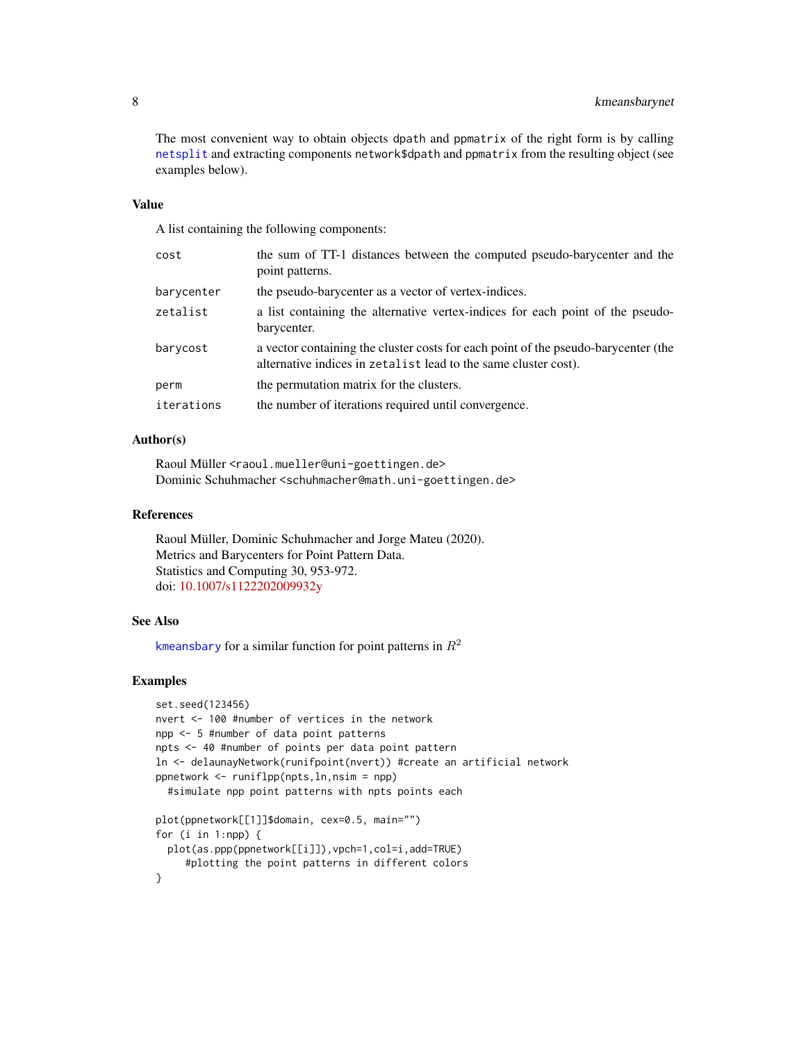<span id="page-7-0"></span>The most convenient way to obtain objects dpath and ppmatrix of the right form is by calling [netsplit](#page-11-1) and extracting components network\$dpath and ppmatrix from the resulting object (see examples below).

#### Value

A list containing the following components:

| cost       | the sum of TT-1 distances between the computed pseudo-barycenter and the<br>point patterns.                                                           |
|------------|-------------------------------------------------------------------------------------------------------------------------------------------------------|
| barycenter | the pseudo-barycenter as a vector of vertex-indices.                                                                                                  |
| zetalist   | a list containing the alternative vertex-indices for each point of the pseudo-<br>barycenter.                                                         |
| barycost   | a vector containing the cluster costs for each point of the pseudo-barycenter (the<br>alternative indices in zetalist lead to the same cluster cost). |
| perm       | the permutation matrix for the clusters.                                                                                                              |
| iterations | the number of iterations required until convergence.                                                                                                  |

#### Author(s)

Raoul Müller <raoul.mueller@uni-goettingen.de> Dominic Schuhmacher <schuhmacher@math.uni-goettingen.de>

#### References

Raoul Müller, Dominic Schuhmacher and Jorge Mateu (2020). Metrics and Barycenters for Point Pattern Data. Statistics and Computing 30, 953-972. doi: [10.1007/s1122202009932y](https://doi.org/10.1007/s11222-020-09932-y)

#### See Also

[kmeansbary](#page-1-1) for a similar function for point patterns in  $R^2$ 

#### Examples

```
set.seed(123456)
nvert <- 100 #number of vertices in the network
npp <- 5 #number of data point patterns
npts <- 40 #number of points per data point pattern
ln <- delaunayNetwork(runifpoint(nvert)) #create an artificial network
ppnetwork <- runiflpp(npts,ln,nsim = npp)
 #simulate npp point patterns with npts points each
plot(ppnetwork[[1]]$domain, cex=0.5, main="")
for (i in 1:npp) {
 plot(as.ppp(ppnetwork[[i]]),vpch=1,col=i,add=TRUE)
     #plotting the point patterns in different colors
```
}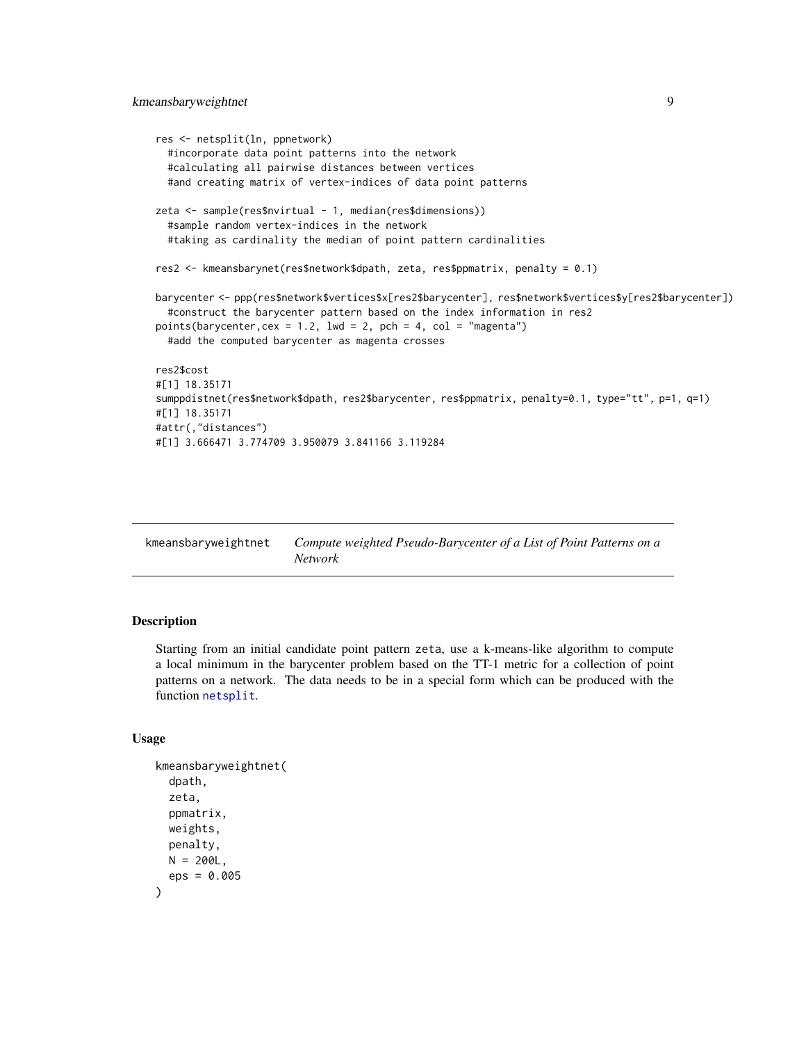```
res <- netsplit(ln, ppnetwork)
  #incorporate data point patterns into the network
  #calculating all pairwise distances between vertices
  #and creating matrix of vertex-indices of data point patterns
zeta <- sample(res$nvirtual - 1, median(res$dimensions))
  #sample random vertex-indices in the network
  #taking as cardinality the median of point pattern cardinalities
res2 <- kmeansbarynet(res$network$dpath, zeta, res$ppmatrix, penalty = 0.1)
barycenter <- ppp(res$network$vertices$x[res2$barycenter], res$network$vertices$y[res2$barycenter])
  #construct the barycenter pattern based on the index information in res2
points(barycenter, cex = 1.2, lwd = 2, pch = 4, col = "magenta")
  #add the computed barycenter as magenta crosses
res2$cost
#[1] 18.35171
sumppdistnet(res$network$dpath, res2$barycenter, res$ppmatrix, penalty=0.1, type="tt", p=1, q=1)
#[1] 18.35171
#attr(,"distances")
#[1] 3.666471 3.774709 3.950079 3.841166 3.119284
```

| kmeansbaryweightnet | Compute weighted Pseudo-Barycenter of a List of Point Patterns on a |
|---------------------|---------------------------------------------------------------------|
|                     | Network                                                             |

#### Description

Starting from an initial candidate point pattern zeta, use a k-means-like algorithm to compute a local minimum in the barycenter problem based on the TT-1 metric for a collection of point patterns on a network. The data needs to be in a special form which can be produced with the function [netsplit](#page-11-1).

#### Usage

```
kmeansbaryweightnet(
  dpath,
  zeta,
  ppmatrix,
 weights,
 penalty,
 N = 200L,eps = 0.005
)
```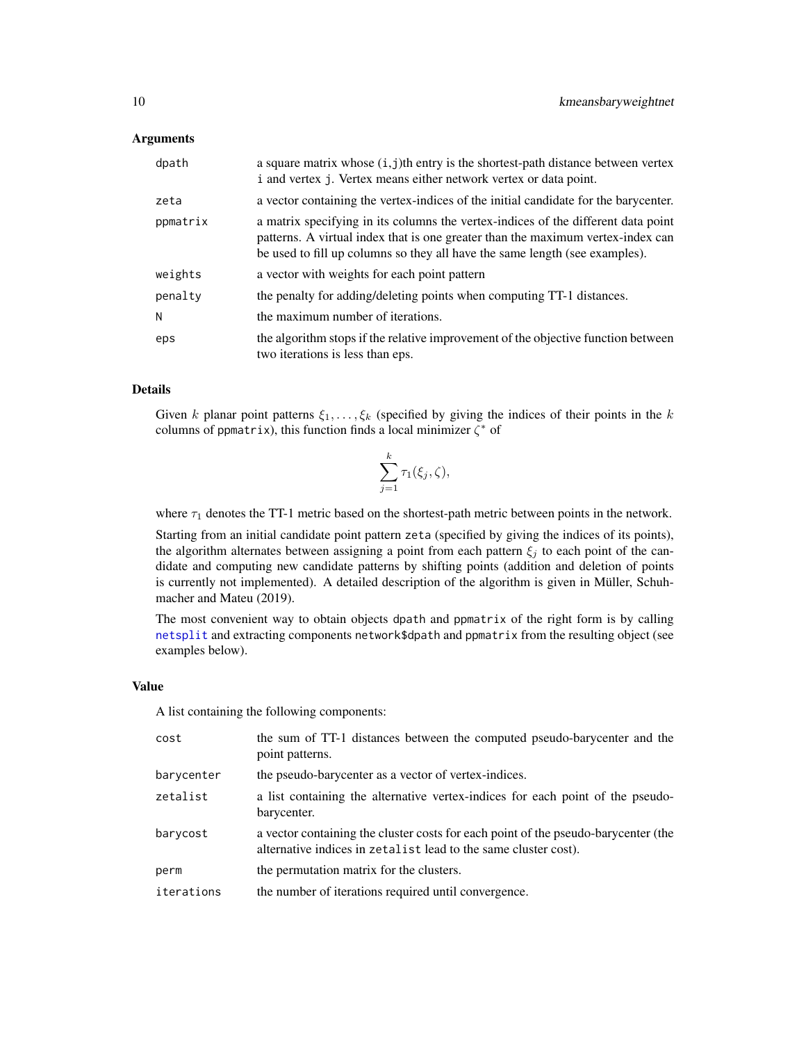#### <span id="page-9-0"></span>**Arguments**

| dpath    | a square matrix whose $(i, j)$ th entry is the shortest-path distance between vertex<br>i and vertex j. Vertex means either network vertex or data point.                                                                                           |
|----------|-----------------------------------------------------------------------------------------------------------------------------------------------------------------------------------------------------------------------------------------------------|
| zeta     | a vector containing the vertex-indices of the initial candidate for the barycenter.                                                                                                                                                                 |
| ppmatrix | a matrix specifying in its columns the vertex-indices of the different data point<br>patterns. A virtual index that is one greater than the maximum vertex-index can<br>be used to fill up columns so they all have the same length (see examples). |
| weights  | a vector with weights for each point pattern                                                                                                                                                                                                        |
| penalty  | the penalty for adding/deleting points when computing TT-1 distances.                                                                                                                                                                               |
| N        | the maximum number of iterations.                                                                                                                                                                                                                   |
| eps      | the algorithm stops if the relative improvement of the objective function between<br>two iterations is less than eps.                                                                                                                               |

#### Details

Given k planar point patterns  $\xi_1, \ldots, \xi_k$  (specified by giving the indices of their points in the k columns of ppmatrix), this function finds a local minimizer  $\zeta^*$  of

$$
\sum_{j=1}^k \tau_1(\xi_j, \zeta),
$$

where  $\tau_1$  denotes the TT-1 metric based on the shortest-path metric between points in the network.

Starting from an initial candidate point pattern zeta (specified by giving the indices of its points), the algorithm alternates between assigning a point from each pattern  $\xi_i$  to each point of the candidate and computing new candidate patterns by shifting points (addition and deletion of points is currently not implemented). A detailed description of the algorithm is given in Müller, Schuhmacher and Mateu (2019).

The most convenient way to obtain objects dpath and ppmatrix of the right form is by calling [netsplit](#page-11-1) and extracting components network\$dpath and ppmatrix from the resulting object (see examples below).

#### Value

A list containing the following components:

| cost       | the sum of TT-1 distances between the computed pseudo-barycenter and the<br>point patterns.                                                           |
|------------|-------------------------------------------------------------------------------------------------------------------------------------------------------|
| barycenter | the pseudo-barycenter as a vector of vertex-indices.                                                                                                  |
| zetalist   | a list containing the alternative vertex-indices for each point of the pseudo-<br>barycenter.                                                         |
| barycost   | a vector containing the cluster costs for each point of the pseudo-barycenter (the<br>alternative indices in zetalist lead to the same cluster cost). |
| perm       | the permutation matrix for the clusters.                                                                                                              |
| iterations | the number of iterations required until convergence.                                                                                                  |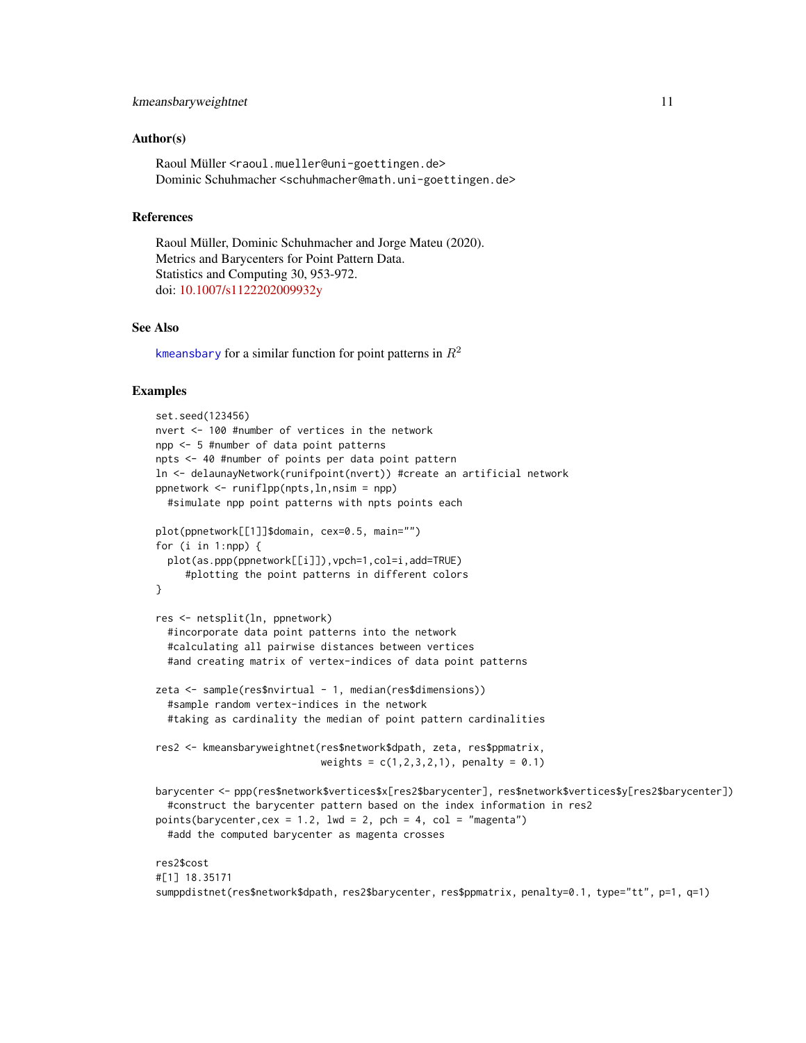#### <span id="page-10-0"></span>kmeansbaryweightnet 11

#### Author(s)

Raoul Müller <raoul.mueller@uni-goettingen.de> Dominic Schuhmacher <schuhmacher@math.uni-goettingen.de>

#### References

Raoul Müller, Dominic Schuhmacher and Jorge Mateu (2020). Metrics and Barycenters for Point Pattern Data. Statistics and Computing 30, 953-972. doi: [10.1007/s1122202009932y](https://doi.org/10.1007/s11222-020-09932-y)

#### See Also

[kmeansbary](#page-1-1) for a similar function for point patterns in  $R^2$ 

```
set.seed(123456)
nvert <- 100 #number of vertices in the network
npp <- 5 #number of data point patterns
npts <- 40 #number of points per data point pattern
ln <- delaunayNetwork(runifpoint(nvert)) #create an artificial network
ppnetwork <- runiflpp(npts,ln,nsim = npp)
 #simulate npp point patterns with npts points each
plot(ppnetwork[[1]]$domain, cex=0.5, main="")
for (i in 1:npp) {
 plot(as.ppp(ppnetwork[[i]]),vpch=1,col=i,add=TRUE)
     #plotting the point patterns in different colors
}
res <- netsplit(ln, ppnetwork)
 #incorporate data point patterns into the network
 #calculating all pairwise distances between vertices
 #and creating matrix of vertex-indices of data point patterns
zeta <- sample(res$nvirtual - 1, median(res$dimensions))
 #sample random vertex-indices in the network
 #taking as cardinality the median of point pattern cardinalities
res2 <- kmeansbaryweightnet(res$network$dpath, zeta, res$ppmatrix,
                            weights = c(1, 2, 3, 2, 1), penalty = 0.1)
barycenter <- ppp(res$network$vertices$x[res2$barycenter], res$network$vertices$y[res2$barycenter])
  #construct the barycenter pattern based on the index information in res2
points(barycenter, cex = 1.2, lwd = 2, pch = 4, col = "magenta")
 #add the computed barycenter as magenta crosses
res2$cost
#[1] 18.35171
sumppdistnet(res$network$dpath, res2$barycenter, res$ppmatrix, penalty=0.1, type="tt", p=1, q=1)
```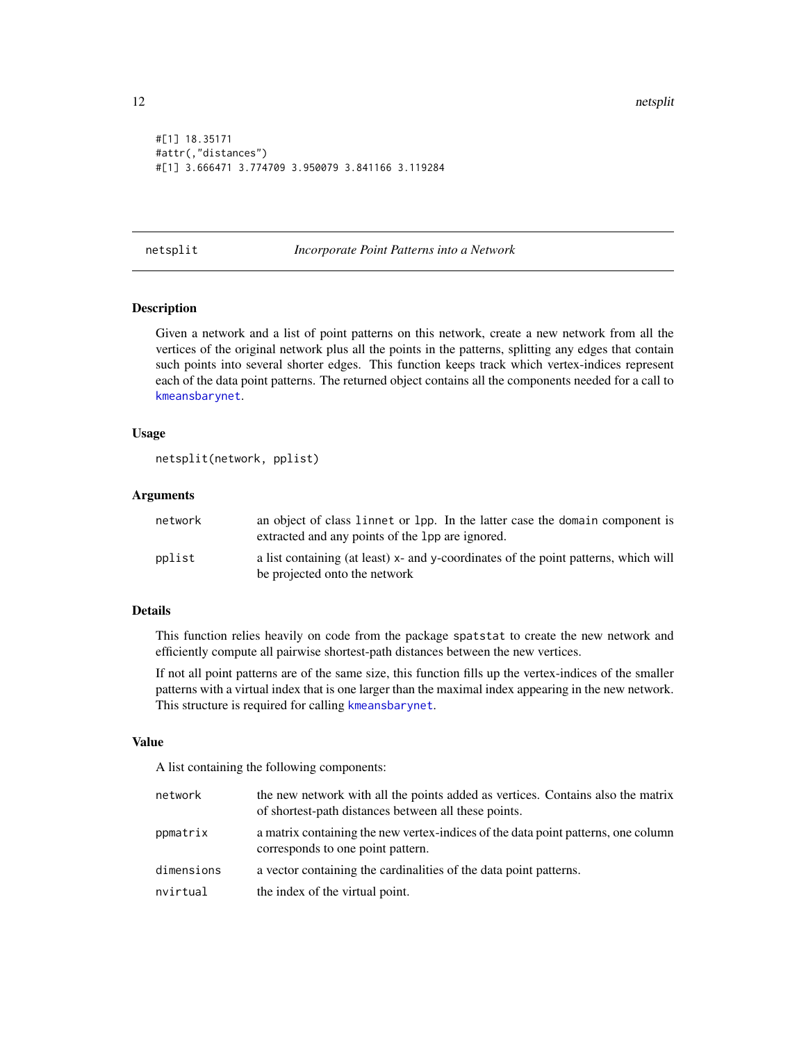```
#[1] 18.35171
#attr(,"distances")
#[1] 3.666471 3.774709 3.950079 3.841166 3.119284
```
#### <span id="page-11-1"></span>netsplit *Incorporate Point Patterns into a Network*

#### Description

Given a network and a list of point patterns on this network, create a new network from all the vertices of the original network plus all the points in the patterns, splitting any edges that contain such points into several shorter edges. This function keeps track which vertex-indices represent each of the data point patterns. The returned object contains all the components needed for a call to [kmeansbarynet](#page-6-1).

#### Usage

```
netsplit(network, pplist)
```
#### Arguments

| network | an object of class linnet or lpp. In the latter case the domain component is<br>extracted and any points of the 1pp are ignored. |
|---------|----------------------------------------------------------------------------------------------------------------------------------|
| pplist  | a list containing (at least) x- and y-coordinates of the point patterns, which will<br>be projected onto the network             |

#### Details

This function relies heavily on code from the package spatstat to create the new network and efficiently compute all pairwise shortest-path distances between the new vertices.

If not all point patterns are of the same size, this function fills up the vertex-indices of the smaller patterns with a virtual index that is one larger than the maximal index appearing in the new network. This structure is required for calling [kmeansbarynet](#page-6-1).

#### Value

A list containing the following components:

| network    | the new network with all the points added as vertices. Contains also the matrix<br>of shortest-path distances between all these points. |
|------------|-----------------------------------------------------------------------------------------------------------------------------------------|
| ppmatrix   | a matrix containing the new vertex-indices of the data point patterns, one column<br>corresponds to one point pattern.                  |
| dimensions | a vector containing the cardinalities of the data point patterns.                                                                       |
| nvirtual   | the index of the virtual point.                                                                                                         |

<span id="page-11-0"></span>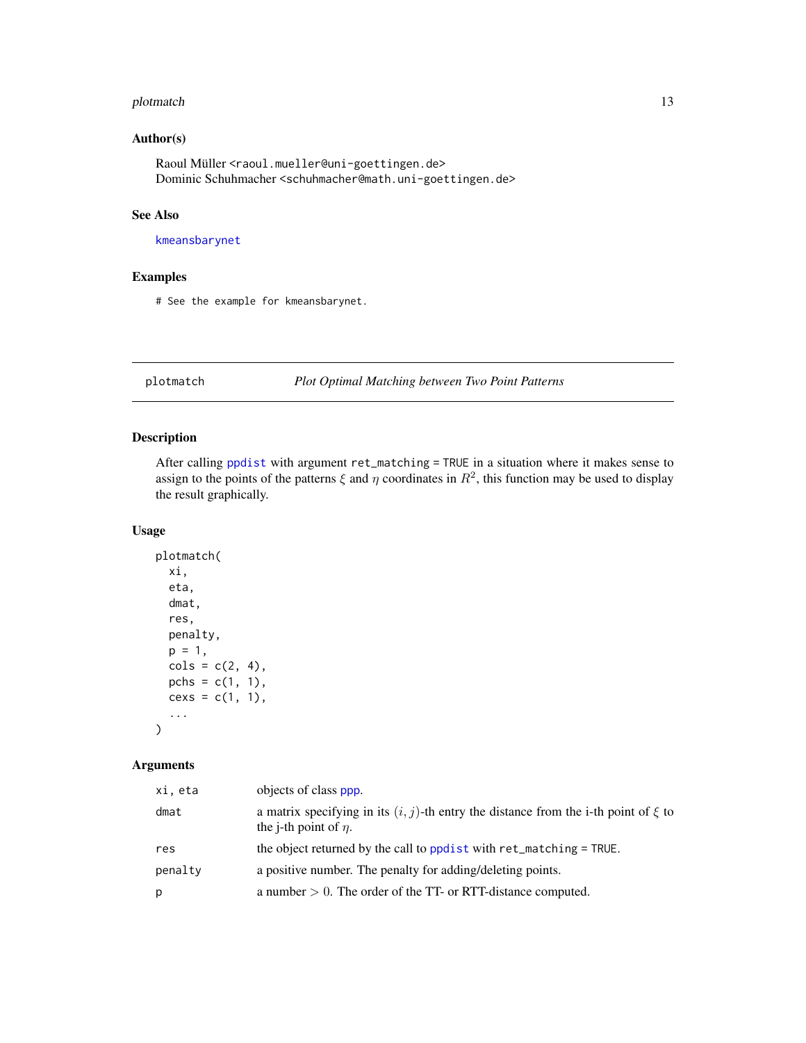#### <span id="page-12-0"></span>plotmatch the contract of the contract of the contract of the contract of the contract of the contract of the contract of the contract of the contract of the contract of the contract of the contract of the contract of the

#### Author(s)

Raoul Müller <raoul.mueller@uni-goettingen.de> Dominic Schuhmacher <schuhmacher@math.uni-goettingen.de>

#### See Also

[kmeansbarynet](#page-6-1)

#### Examples

# See the example for kmeansbarynet.

plotmatch *Plot Optimal Matching between Two Point Patterns*

#### Description

After calling [ppdist](#page-13-1) with argument ret\_matching = TRUE in a situation where it makes sense to assign to the points of the patterns  $\xi$  and  $\eta$  coordinates in  $R^2$ , this function may be used to display the result graphically.

#### Usage

```
plotmatch(
  xi,
  eta,
  dmat,
  res,
  penalty,
  p = 1,
  cols = c(2, 4),pchs = c(1, 1),cexs = c(1, 1),...
\mathcal{L}
```
#### Arguments

| xi, eta | objects of class ppp.                                                                                                    |
|---------|--------------------------------------------------------------------------------------------------------------------------|
| dmat    | a matrix specifying in its $(i, j)$ -th entry the distance from the i-th point of $\xi$ to<br>the j-th point of $\eta$ . |
| res     | the object returned by the call to ppdist with ret_matching = TRUE.                                                      |
| penalty | a positive number. The penalty for adding/deleting points.                                                               |
| p       | a number $> 0$ . The order of the TT- or RTT-distance computed.                                                          |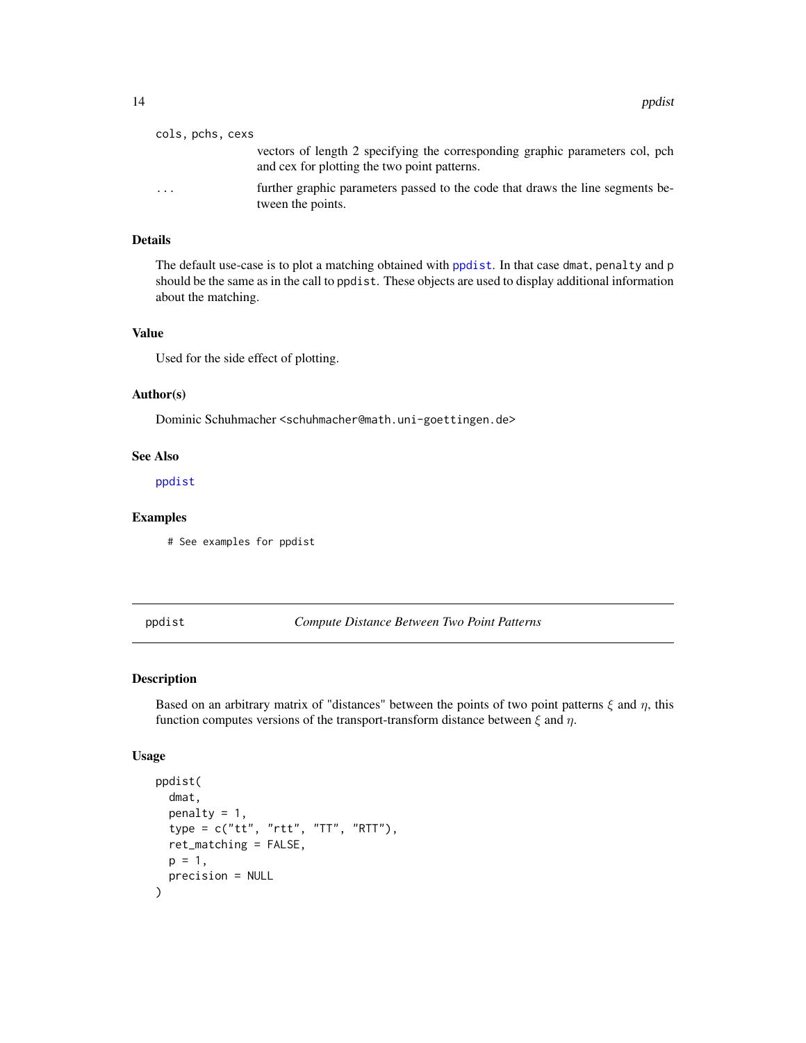<span id="page-13-0"></span>

| cols, pchs, cexs |                                                                                                                              |
|------------------|------------------------------------------------------------------------------------------------------------------------------|
|                  | vectors of length 2 specifying the corresponding graphic parameters col, pch<br>and cex for plotting the two point patterns. |
| $\cdots$         | further graphic parameters passed to the code that draws the line segments be-<br>tween the points.                          |

#### Details

The default use-case is to plot a matching obtained with [ppdist](#page-13-1). In that case dmat, penalty and p should be the same as in the call to ppdist. These objects are used to display additional information about the matching.

#### Value

Used for the side effect of plotting.

#### Author(s)

Dominic Schuhmacher <schuhmacher@math.uni-goettingen.de>

#### See Also

[ppdist](#page-13-1)

#### Examples

# See examples for ppdist

<span id="page-13-1"></span>ppdist *Compute Distance Between Two Point Patterns*

#### Description

Based on an arbitrary matrix of "distances" between the points of two point patterns  $\xi$  and  $\eta$ , this function computes versions of the transport-transform distance between  $\xi$  and  $\eta$ .

#### Usage

```
ppdist(
  dmat,
  penalty = 1,
  type = c("tt", "rtt", "TT", "RTT"),
  ret_matching = FALSE,
  p = 1,
  precision = NULL
\mathcal{E}
```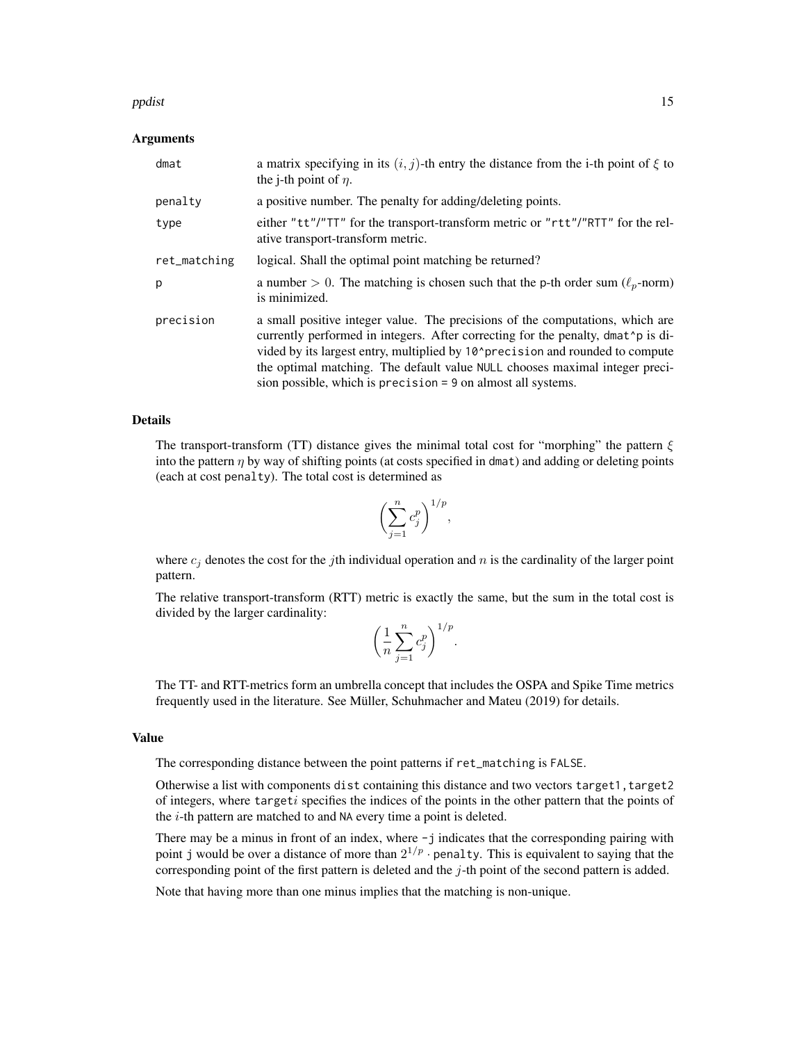#### ppdist the contract of the contract of the contract of the contract of the contract of the contract of the contract of the contract of the contract of the contract of the contract of the contract of the contract of the con

#### Arguments

| dmat         | a matrix specifying in its $(i, j)$ -th entry the distance from the i-th point of $\xi$ to<br>the <i>j</i> -th point of $\eta$ .                                                                                                                                                                                                                                                                                |
|--------------|-----------------------------------------------------------------------------------------------------------------------------------------------------------------------------------------------------------------------------------------------------------------------------------------------------------------------------------------------------------------------------------------------------------------|
| penalty      | a positive number. The penalty for adding/deleting points.                                                                                                                                                                                                                                                                                                                                                      |
| type         | either "tt"/"TT" for the transport-transform metric or "rtt"/"RTT" for the rel-<br>ative transport-transform metric.                                                                                                                                                                                                                                                                                            |
| ret_matching | logical. Shall the optimal point matching be returned?                                                                                                                                                                                                                                                                                                                                                          |
| p            | a number > 0. The matching is chosen such that the p-th order sum ( $\ell_p$ -norm)<br>is minimized.                                                                                                                                                                                                                                                                                                            |
| precision    | a small positive integer value. The precisions of the computations, which are<br>currently performed in integers. After correcting for the penalty, dmat 'p is di-<br>vided by its largest entry, multiplied by 10 <sup>^</sup> precision and rounded to compute<br>the optimal matching. The default value NULL chooses maximal integer preci-<br>sion possible, which is precision = 9 on almost all systems. |

#### Details

The transport-transform (TT) distance gives the minimal total cost for "morphing" the pattern  $\xi$ into the pattern  $\eta$  by way of shifting points (at costs specified in dmat) and adding or deleting points (each at cost penalty). The total cost is determined as

$$
\left(\sum_{j=1}^n c_j^p\right)^{1/p},
$$

where  $c_i$  denotes the cost for the jth individual operation and n is the cardinality of the larger point pattern.

The relative transport-transform (RTT) metric is exactly the same, but the sum in the total cost is divided by the larger cardinality:

$$
\left(\frac{1}{n}\sum_{j=1}^n c_j^p\right)^{1/p}.
$$

The TT- and RTT-metrics form an umbrella concept that includes the OSPA and Spike Time metrics frequently used in the literature. See Müller, Schuhmacher and Mateu (2019) for details.

#### Value

The corresponding distance between the point patterns if ret\_matching is FALSE.

Otherwise a list with components dist containing this distance and two vectors target1, target2 of integers, where targeti specifies the indices of the points in the other pattern that the points of the  $i$ -th pattern are matched to and NA every time a point is deleted.

There may be a minus in front of an index, where  $-j$  indicates that the corresponding pairing with point j would be over a distance of more than  $2^{1/p}$  · penalty. This is equivalent to saying that the corresponding point of the first pattern is deleted and the  $j$ -th point of the second pattern is added.

Note that having more than one minus implies that the matching is non-unique.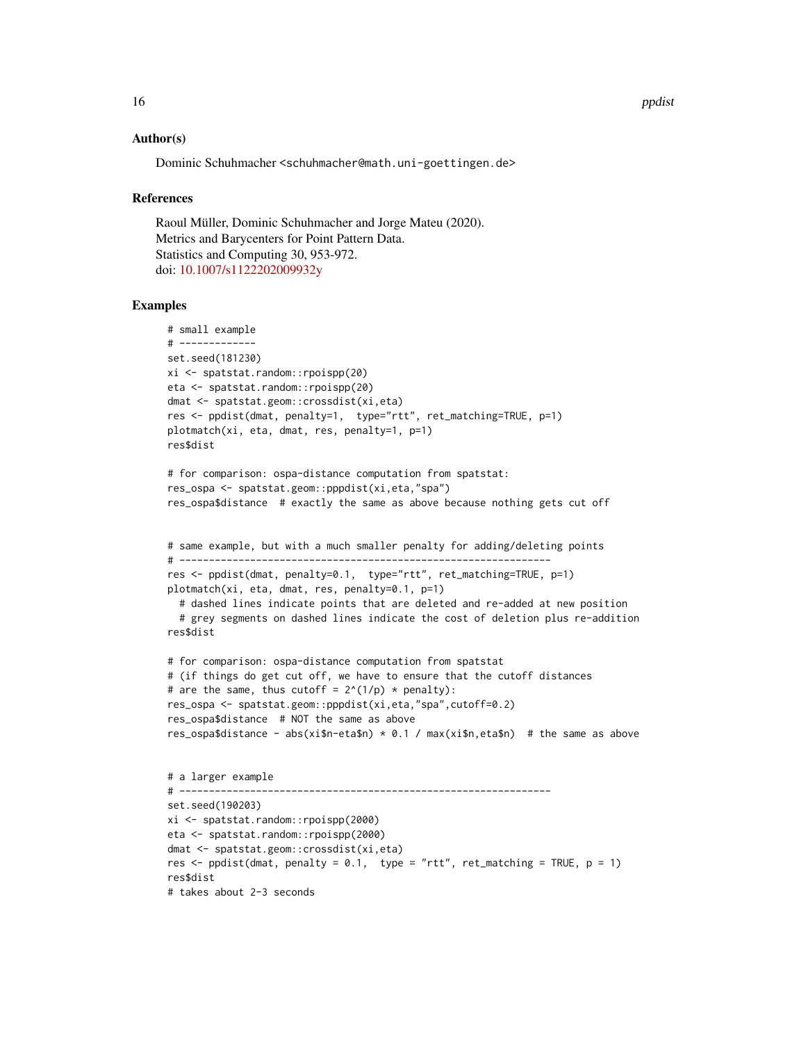#### Author(s)

Dominic Schuhmacher <schuhmacher@math.uni-goettingen.de>

#### References

Raoul Müller, Dominic Schuhmacher and Jorge Mateu (2020). Metrics and Barycenters for Point Pattern Data. Statistics and Computing 30, 953-972. doi: [10.1007/s1122202009932y](https://doi.org/10.1007/s11222-020-09932-y)

```
# small example
# -------------
set.seed(181230)
xi <- spatstat.random::rpoispp(20)
eta <- spatstat.random::rpoispp(20)
dmat <- spatstat.geom::crossdist(xi,eta)
res <- ppdist(dmat, penalty=1, type="rtt", ret_matching=TRUE, p=1)
plotmatch(xi, eta, dmat, res, penalty=1, p=1)
res$dist
# for comparison: ospa-distance computation from spatstat:
res_ospa <- spatstat.geom::pppdist(xi,eta,"spa")
res_ospa$distance # exactly the same as above because nothing gets cut off
# same example, but with a much smaller penalty for adding/deleting points
# ---------------------------------------------------------------
res <- ppdist(dmat, penalty=0.1, type="rtt", ret_matching=TRUE, p=1)
plotmatch(xi, eta, dmat, res, penalty=0.1, p=1)
  # dashed lines indicate points that are deleted and re-added at new position
  # grey segments on dashed lines indicate the cost of deletion plus re-addition
res$dist
# for comparison: ospa-distance computation from spatstat
# (if things do get cut off, we have to ensure that the cutoff distances
# are the same, thus cutoff = 2^{(1/p)} * penalty):
res_ospa <- spatstat.geom::pppdist(xi,eta,"spa",cutoff=0.2)
res_ospa$distance # NOT the same as above
res_ospa$distance - abs(xi$n-eta$n) * 0.1 / max(xi$n,eta$n) # the same as above
# a larger example
# ---------------------------------------------------------------
set.seed(190203)
xi <- spatstat.random::rpoispp(2000)
eta <- spatstat.random::rpoispp(2000)
dmat <- spatstat.geom::crossdist(xi,eta)
res \le- ppdist(dmat, penalty = 0.1, type = "rtt", ret_matching = TRUE, p = 1)
res$dist
# takes about 2-3 seconds
```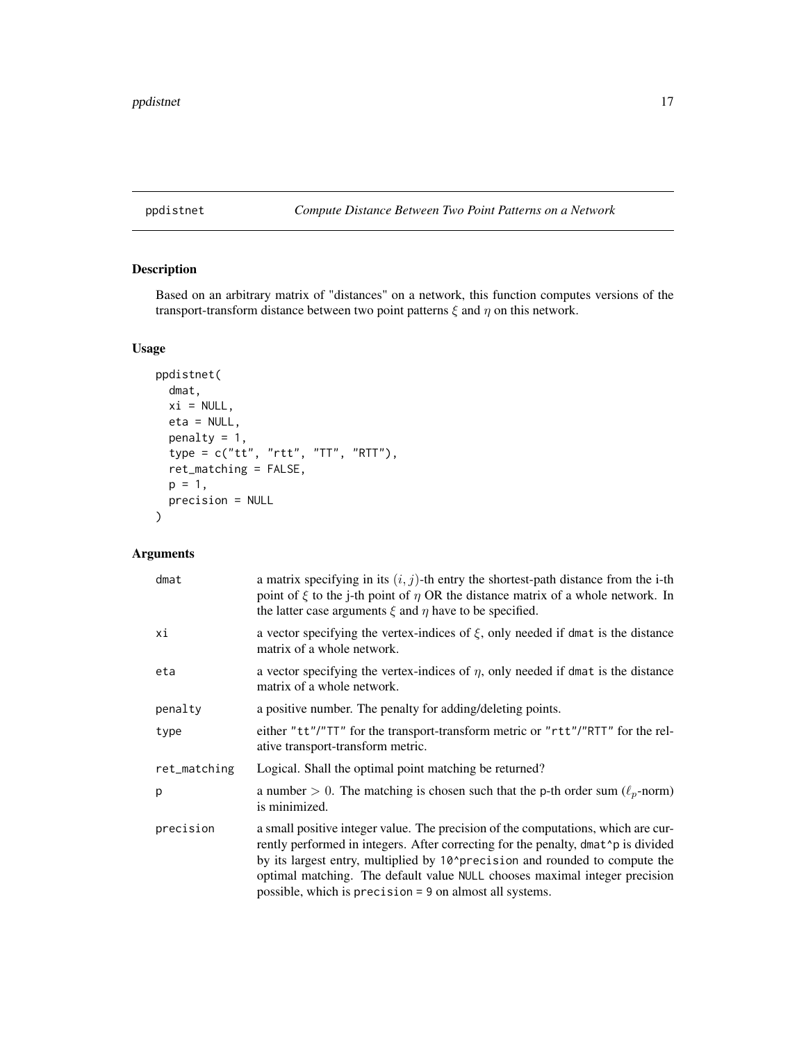#### <span id="page-16-0"></span>ppdistnet *Compute Distance Between Two Point Patterns on a Network*

### Description

Based on an arbitrary matrix of "distances" on a network, this function computes versions of the transport-transform distance between two point patterns  $\xi$  and  $\eta$  on this network.

#### Usage

```
ppdistnet(
  dmat,
  xi = NULL,eta = NULL,
  penalty = 1,
  type = c("tt", "rtt", "TT", "RTT"),
  ret_matching = FALSE,
  p = 1,
  precision = NULL
\mathcal{L}
```
#### Arguments

| dmat         | a matrix specifying in its $(i, j)$ -th entry the shortest-path distance from the i-th<br>point of $\xi$ to the j-th point of $\eta$ OR the distance matrix of a whole network. In<br>the latter case arguments $\xi$ and $\eta$ have to be specified.                                                                                                                                                       |
|--------------|--------------------------------------------------------------------------------------------------------------------------------------------------------------------------------------------------------------------------------------------------------------------------------------------------------------------------------------------------------------------------------------------------------------|
| хi           | a vector specifying the vertex-indices of $\xi$ , only needed if dmat is the distance<br>matrix of a whole network.                                                                                                                                                                                                                                                                                          |
| eta          | a vector specifying the vertex-indices of $\eta$ , only needed if dmat is the distance<br>matrix of a whole network.                                                                                                                                                                                                                                                                                         |
| penalty      | a positive number. The penalty for adding/deleting points.                                                                                                                                                                                                                                                                                                                                                   |
| type         | either "tt"/"TT" for the transport-transform metric or "rtt"/"RTT" for the rel-<br>ative transport-transform metric.                                                                                                                                                                                                                                                                                         |
| ret_matching | Logical. Shall the optimal point matching be returned?                                                                                                                                                                                                                                                                                                                                                       |
| p            | a number > 0. The matching is chosen such that the p-th order sum ( $\ell_p$ -norm)<br>is minimized.                                                                                                                                                                                                                                                                                                         |
| precision    | a small positive integer value. The precision of the computations, which are cur-<br>rently performed in integers. After correcting for the penalty, dmat 'p is divided<br>by its largest entry, multiplied by 10 <sup>^</sup> precision and rounded to compute the<br>optimal matching. The default value NULL chooses maximal integer precision<br>possible, which is precision = 9 on almost all systems. |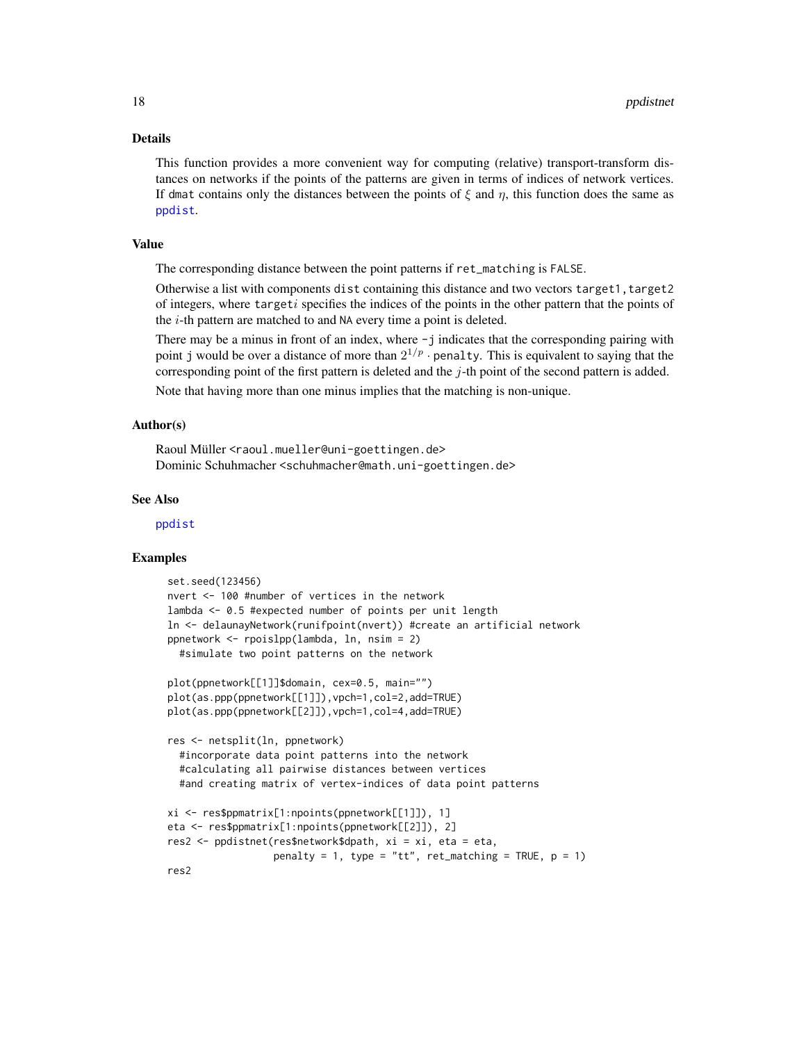#### <span id="page-17-0"></span>Details

This function provides a more convenient way for computing (relative) transport-transform distances on networks if the points of the patterns are given in terms of indices of network vertices. If dmat contains only the distances between the points of  $\xi$  and  $\eta$ , this function does the same as [ppdist](#page-13-1).

#### Value

The corresponding distance between the point patterns if ret\_matching is FALSE.

Otherwise a list with components dist containing this distance and two vectors target1, target2 of integers, where targeti specifies the indices of the points in the other pattern that the points of the  $i$ -th pattern are matched to and NA every time a point is deleted.

There may be a minus in front of an index, where  $-j$  indicates that the corresponding pairing with point j would be over a distance of more than  $2^{1/p}$  · penalty. This is equivalent to saying that the corresponding point of the first pattern is deleted and the  $j$ -th point of the second pattern is added.

Note that having more than one minus implies that the matching is non-unique.

#### Author(s)

Raoul Müller <raoul.mueller@uni-goettingen.de> Dominic Schuhmacher <schuhmacher@math.uni-goettingen.de>

#### See Also

[ppdist](#page-13-1)

```
set.seed(123456)
nvert <- 100 #number of vertices in the network
lambda <- 0.5 #expected number of points per unit length
ln <- delaunayNetwork(runifpoint(nvert)) #create an artificial network
ppnetwork <- rpoislpp(lambda, ln, nsim = 2)
  #simulate two point patterns on the network
plot(ppnetwork[[1]]$domain, cex=0.5, main="")
plot(as.ppp(ppnetwork[[1]]),vpch=1,col=2,add=TRUE)
plot(as.ppp(ppnetwork[[2]]),vpch=1,col=4,add=TRUE)
res <- netsplit(ln, ppnetwork)
  #incorporate data point patterns into the network
  #calculating all pairwise distances between vertices
  #and creating matrix of vertex-indices of data point patterns
xi <- res$ppmatrix[1:npoints(ppnetwork[[1]]), 1]
eta <- res$ppmatrix[1:npoints(ppnetwork[[2]]), 2]
res2 <- ppdistnet(res$network$dpath, xi = xi, eta = eta,
                  penalty = 1, type = "tt", ret_matching = TRUE, p = 1)
res2
```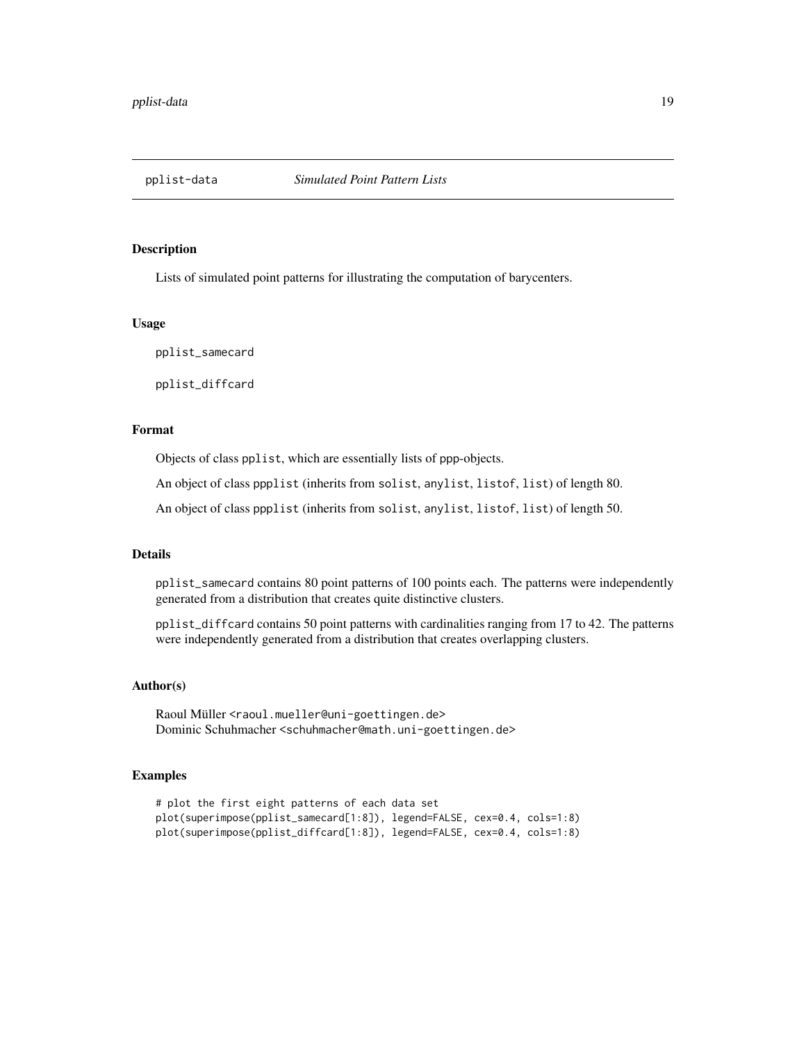<span id="page-18-0"></span>

#### Description

Lists of simulated point patterns for illustrating the computation of barycenters.

#### Usage

pplist\_samecard

pplist\_diffcard

#### Format

Objects of class pplist, which are essentially lists of ppp-objects.

An object of class ppplist (inherits from solist, anylist, listof, list) of length 80.

An object of class ppplist (inherits from solist, anylist, listof, list) of length 50.

#### Details

pplist\_samecard contains 80 point patterns of 100 points each. The patterns were independently generated from a distribution that creates quite distinctive clusters.

pplist\_diffcard contains 50 point patterns with cardinalities ranging from 17 to 42. The patterns were independently generated from a distribution that creates overlapping clusters.

#### Author(s)

Raoul Müller <raoul.mueller@uni-goettingen.de> Dominic Schuhmacher <schuhmacher@math.uni-goettingen.de>

```
# plot the first eight patterns of each data set
plot(superimpose(pplist_samecard[1:8]), legend=FALSE, cex=0.4, cols=1:8)
plot(superimpose(pplist_diffcard[1:8]), legend=FALSE, cex=0.4, cols=1:8)
```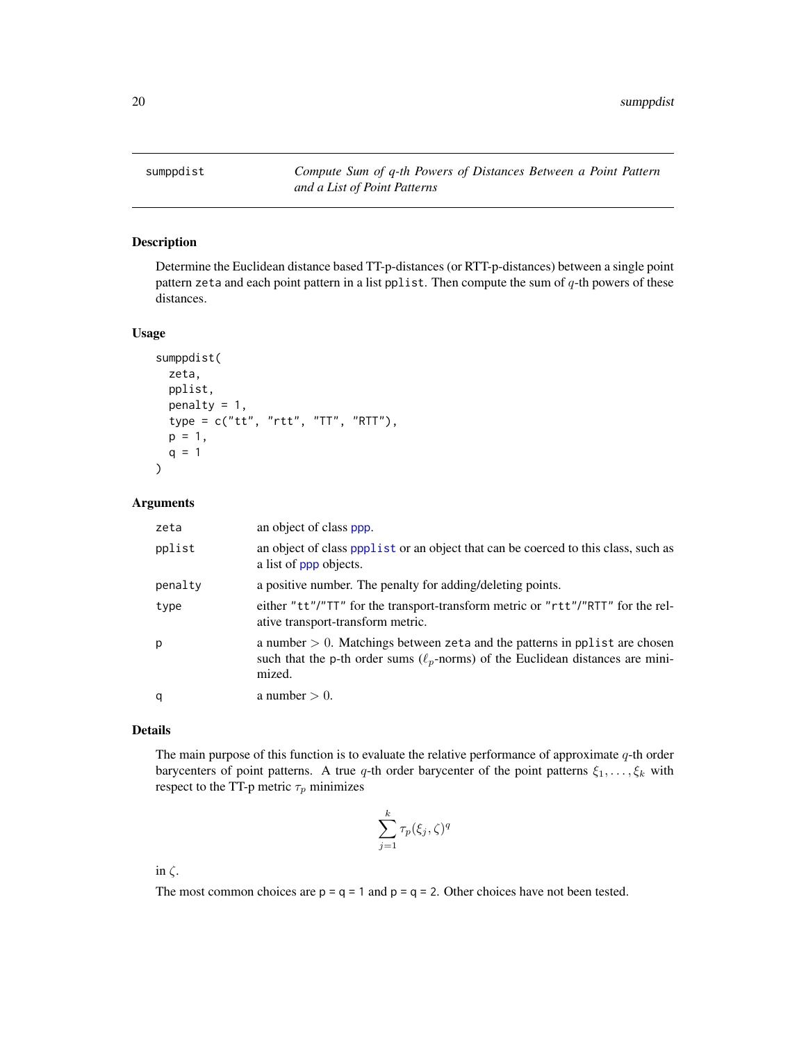<span id="page-19-1"></span><span id="page-19-0"></span>sumppdist *Compute Sum of q-th Powers of Distances Between a Point Pattern and a List of Point Patterns*

#### Description

Determine the Euclidean distance based TT-p-distances (or RTT-p-distances) between a single point pattern zeta and each point pattern in a list pplist. Then compute the sum of  $q$ -th powers of these distances.

#### Usage

```
sumppdist(
 zeta,
  pplist,
 penalty = 1,
  type = c("tt", "rtt", "TT", "RTT"),p = 1,
 q = 1)
```
#### Arguments

| zeta    | an object of class ppp.                                                                                                                                                          |
|---------|----------------------------------------------------------------------------------------------------------------------------------------------------------------------------------|
| pplist  | an object of class ppplist or an object that can be coerced to this class, such as<br>a list of ppp objects.                                                                     |
| penalty | a positive number. The penalty for adding/deleting points.                                                                                                                       |
| type    | either "tt"/"TT" for the transport-transform metric or "rtt"/"RTT" for the rel-<br>ative transport-transform metric.                                                             |
| p       | a number $> 0$ . Matchings between zeta and the patterns in pplist are chosen<br>such that the p-th order sums ( $\ell_p$ -norms) of the Euclidean distances are mini-<br>mized. |
| q       | a number $> 0$ .                                                                                                                                                                 |

#### Details

The main purpose of this function is to evaluate the relative performance of approximate  $q$ -th order barycenters of point patterns. A true q-th order barycenter of the point patterns  $\xi_1, \ldots, \xi_k$  with respect to the TT-p metric  $\tau_p$  minimizes

$$
\sum_{j=1}^k \tau_p(\xi_j,\zeta)^q
$$

in  $\zeta$ .

The most common choices are  $p = q = 1$  and  $p = q = 2$ . Other choices have not been tested.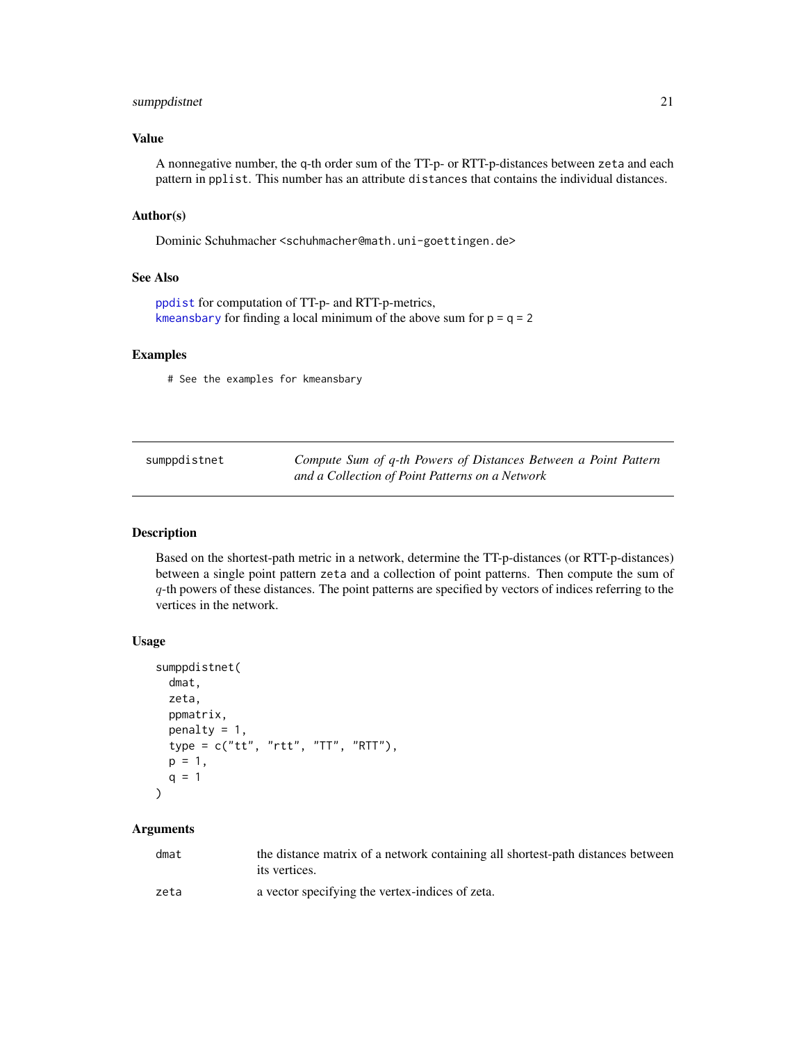#### <span id="page-20-0"></span>sumppdistnet 21

#### Value

A nonnegative number, the q-th order sum of the TT-p- or RTT-p-distances between zeta and each pattern in pplist. This number has an attribute distances that contains the individual distances.

#### Author(s)

Dominic Schuhmacher <schuhmacher@math.uni-goettingen.de>

#### See Also

```
ppdist for computation of TT-p- and RTT-p-metrics,
kmeansbary for finding a local minimum of the above sum for p = q = 2
```
#### Examples

# See the examples for kmeansbary

| sumppdistnet | Compute Sum of q-th Powers of Distances Between a Point Pattern |
|--------------|-----------------------------------------------------------------|
|              | and a Collection of Point Patterns on a Network                 |

#### Description

Based on the shortest-path metric in a network, determine the TT-p-distances (or RTT-p-distances) between a single point pattern zeta and a collection of point patterns. Then compute the sum of q-th powers of these distances. The point patterns are specified by vectors of indices referring to the vertices in the network.

#### Usage

```
sumppdistnet(
  dmat,
 zeta,
 ppmatrix,
 penalty = 1,
  type = c("tt", "rtt", "TT", "RTT"),
 p = 1,
 q = 1\lambda
```
#### Arguments

| dmat | the distance matrix of a network containing all shortest-path distances between |
|------|---------------------------------------------------------------------------------|
|      | its vertices.                                                                   |
| zeta | a vector specifying the vertex-indices of zeta.                                 |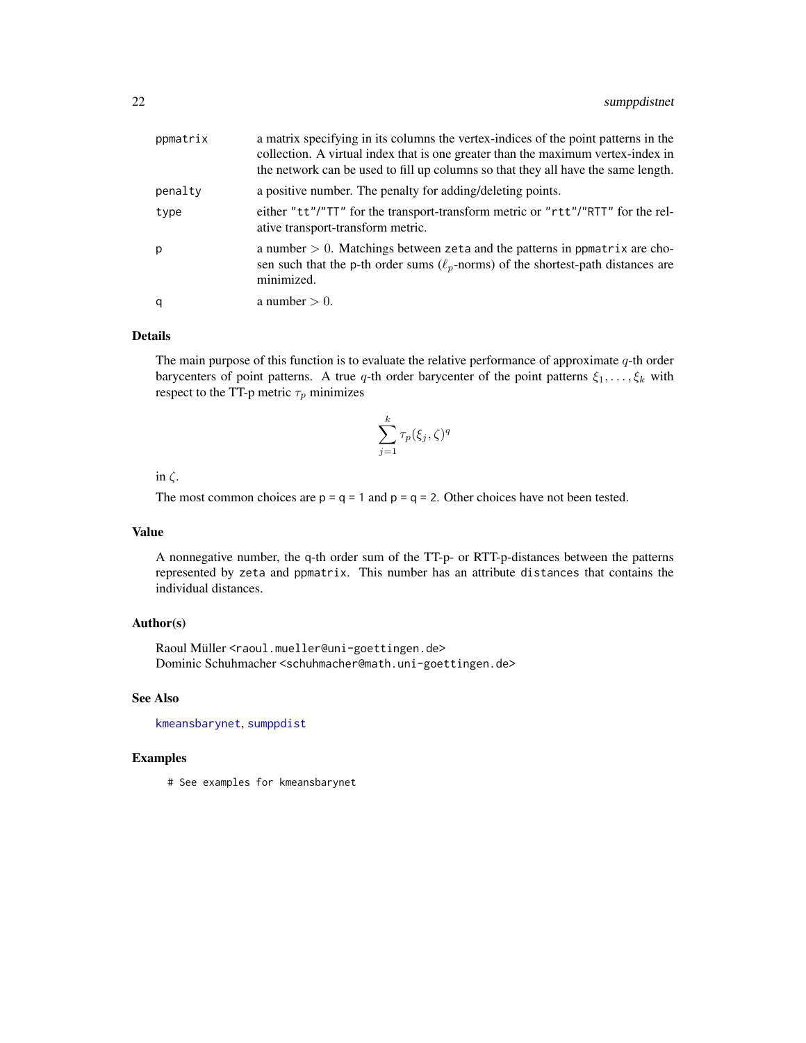<span id="page-21-0"></span>

| ppmatrix | a matrix specifying in its columns the vertex-indices of the point patterns in the<br>collection. A virtual index that is one greater than the maximum vertex-index in<br>the network can be used to fill up columns so that they all have the same length. |
|----------|-------------------------------------------------------------------------------------------------------------------------------------------------------------------------------------------------------------------------------------------------------------|
| penalty  | a positive number. The penalty for adding/deleting points.                                                                                                                                                                                                  |
| type     | either "tt"/"TT" for the transport-transform metric or "rtt"/"RTT" for the rel-<br>ative transport-transform metric.                                                                                                                                        |
| p        | a number $> 0$ . Matchings between zeta and the patterns in ppmatrix are cho-<br>sen such that the p-th order sums ( $\ell_p$ -norms) of the shortest-path distances are<br>minimized.                                                                      |
| q        | a number $> 0$ .                                                                                                                                                                                                                                            |

#### Details

The main purpose of this function is to evaluate the relative performance of approximate  $q$ -th order barycenters of point patterns. A true q-th order barycenter of the point patterns  $\xi_1, \ldots, \xi_k$  with respect to the TT-p metric  $\tau_p$  minimizes

$$
\sum_{j=1}^{k} \tau_p(\xi_j, \zeta)^q
$$

#### in  $\zeta$ .

The most common choices are  $p = q = 1$  and  $p = q = 2$ . Other choices have not been tested.

#### Value

A nonnegative number, the q-th order sum of the TT-p- or RTT-p-distances between the patterns represented by zeta and ppmatrix. This number has an attribute distances that contains the individual distances.

#### Author(s)

Raoul Müller <raoul.mueller@uni-goettingen.de> Dominic Schuhmacher <schuhmacher@math.uni-goettingen.de>

#### See Also

[kmeansbarynet](#page-6-1), [sumppdist](#page-19-1)

#### Examples

# See examples for kmeansbarynet